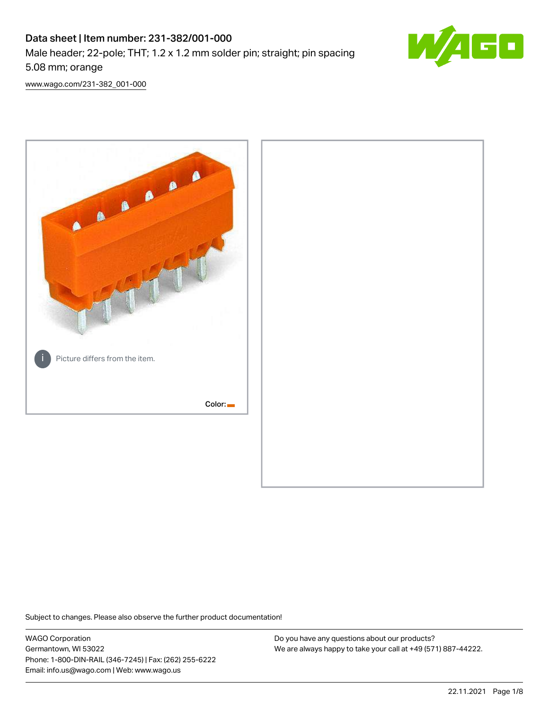# Data sheet | Item number: 231-382/001-000 Male header; 22-pole; THT; 1.2 x 1.2 mm solder pin; straight; pin spacing 5.08 mm; orange



[www.wago.com/231-382\\_001-000](http://www.wago.com/231-382_001-000)



Subject to changes. Please also observe the further product documentation!

WAGO Corporation Germantown, WI 53022 Phone: 1-800-DIN-RAIL (346-7245) | Fax: (262) 255-6222 Email: info.us@wago.com | Web: www.wago.us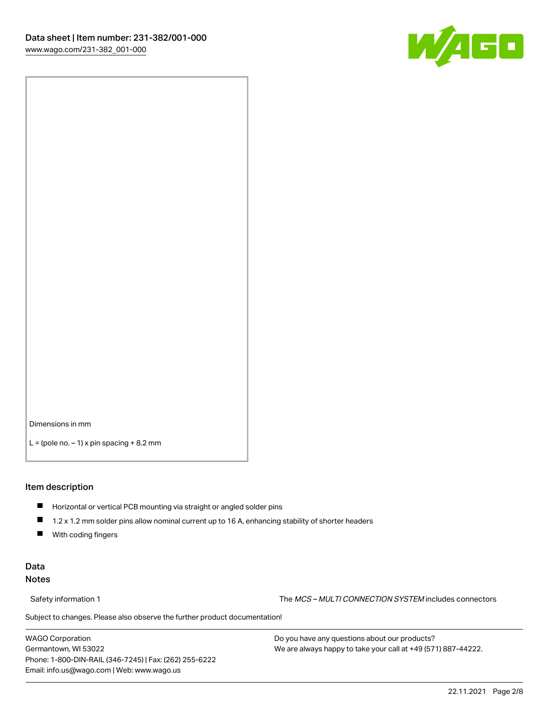

Dimensions in mm

 $L =$  (pole no.  $-1$ ) x pin spacing  $+8.2$  mm

#### Item description

- **Horizontal or vertical PCB mounting via straight or angled solder pins**
- 1.2 x 1.2 mm solder pins allow nominal current up to 16 A, enhancing stability of shorter headers
- $\blacksquare$ With coding fingers

## Data Notes

Safety information 1 The MCS – MULTI CONNECTION SYSTEM includes connectors

Subject to changes. Please also observe the further product documentation!  $\nu$ 

WAGO Corporation Germantown, WI 53022 Phone: 1-800-DIN-RAIL (346-7245) | Fax: (262) 255-6222 Email: info.us@wago.com | Web: www.wago.us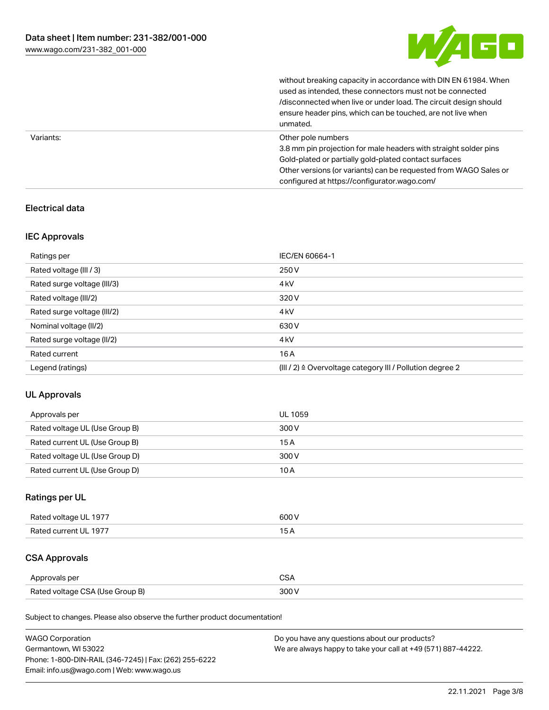

without breaking capacity in accordance with DIN EN 61984. When

|           | used as intended, these connectors must not be connected<br>/disconnected when live or under load. The circuit design should<br>ensure header pins, which can be touched, are not live when<br>unmated.                                                             |
|-----------|---------------------------------------------------------------------------------------------------------------------------------------------------------------------------------------------------------------------------------------------------------------------|
| Variants: | Other pole numbers<br>3.8 mm pin projection for male headers with straight solder pins<br>Gold-plated or partially gold-plated contact surfaces<br>Other versions (or variants) can be requested from WAGO Sales or<br>configured at https://configurator.wago.com/ |

## Electrical data

## IEC Approvals

| Ratings per                 | IEC/EN 60664-1                                            |
|-----------------------------|-----------------------------------------------------------|
| Rated voltage (III / 3)     | 250 V                                                     |
| Rated surge voltage (III/3) | 4 <sub>k</sub> V                                          |
| Rated voltage (III/2)       | 320 V                                                     |
| Rated surge voltage (III/2) | 4 <sub>k</sub> V                                          |
| Nominal voltage (II/2)      | 630 V                                                     |
| Rated surge voltage (II/2)  | 4 <sub>k</sub> V                                          |
| Rated current               | 16A                                                       |
| Legend (ratings)            | (III / 2) ≙ Overvoltage category III / Pollution degree 2 |

## UL Approvals

| Approvals per                  | UL 1059 |
|--------------------------------|---------|
| Rated voltage UL (Use Group B) | 300 V   |
| Rated current UL (Use Group B) | 15 A    |
| Rated voltage UL (Use Group D) | 300 V   |
| Rated current UL (Use Group D) | 10 A    |

# Ratings per UL

| Rated voltage UL 1977 | 600 V |
|-----------------------|-------|
| Rated current UL 1977 |       |

# CSA Approvals

| Approvals per                   | ~~    |
|---------------------------------|-------|
| Rated voltage CSA (Use Group B) | 3UU 1 |

Subject to changes. Please also observe the further product documentation!

| <b>WAGO Corporation</b>                                | Do you have any questions about our products?                 |
|--------------------------------------------------------|---------------------------------------------------------------|
| Germantown, WI 53022                                   | We are always happy to take your call at +49 (571) 887-44222. |
| Phone: 1-800-DIN-RAIL (346-7245)   Fax: (262) 255-6222 |                                                               |
| Email: info.us@wago.com   Web: www.wago.us             |                                                               |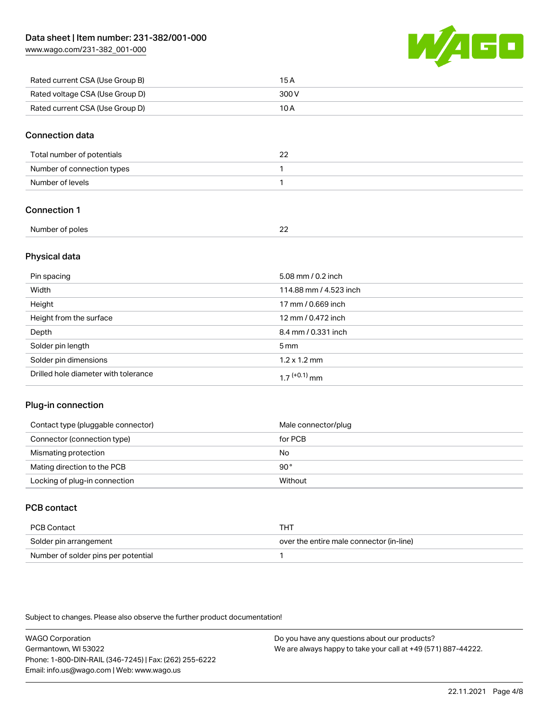[www.wago.com/231-382\\_001-000](http://www.wago.com/231-382_001-000)



| Rated current CSA (Use Group B) | 15 A  |
|---------------------------------|-------|
| Rated voltage CSA (Use Group D) | 300 V |
| Rated current CSA (Use Group D) | 10 A  |

#### Connection data

| Total number of potentials |  |
|----------------------------|--|
| Number of connection types |  |
| Number of levels           |  |

## Connection 1

| Number of poles | n,<br>-- |  |
|-----------------|----------|--|
|                 |          |  |

#### Physical data

| Pin spacing                          | 5.08 mm / 0.2 inch     |
|--------------------------------------|------------------------|
| Width                                | 114.88 mm / 4.523 inch |
| Height                               | 17 mm / 0.669 inch     |
| Height from the surface              | 12 mm / 0.472 inch     |
| Depth                                | 8.4 mm / 0.331 inch    |
| Solder pin length                    | $5 \text{ mm}$         |
| Solder pin dimensions                | $1.2 \times 1.2$ mm    |
| Drilled hole diameter with tolerance | $17^{(+0.1)}$ mm       |

## Plug-in connection

| Contact type (pluggable connector) | Male connector/plug |
|------------------------------------|---------------------|
| Connector (connection type)        | for PCB             |
| Mismating protection               | No                  |
| Mating direction to the PCB        | 90°                 |
| Locking of plug-in connection      | Without             |

# PCB contact

| PCB Contact                         | THT                                      |
|-------------------------------------|------------------------------------------|
| Solder pin arrangement              | over the entire male connector (in-line) |
| Number of solder pins per potential |                                          |

Subject to changes. Please also observe the further product documentation!

WAGO Corporation Germantown, WI 53022 Phone: 1-800-DIN-RAIL (346-7245) | Fax: (262) 255-6222 Email: info.us@wago.com | Web: www.wago.us Do you have any questions about our products? We are always happy to take your call at +49 (571) 887-44222.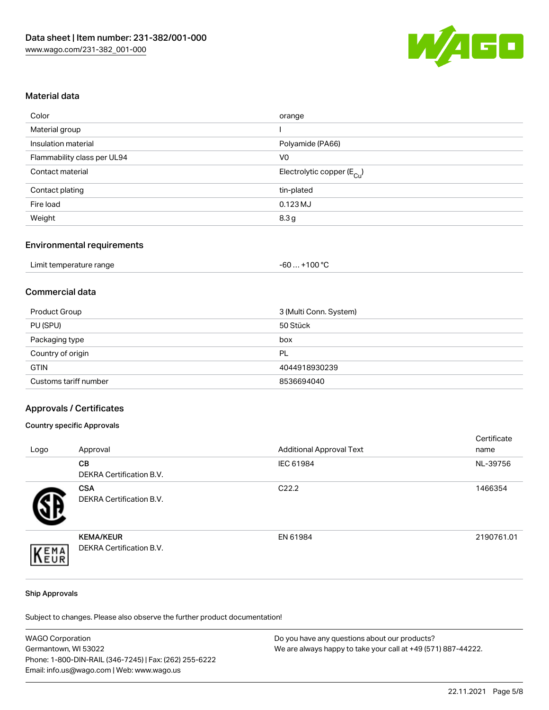

#### Material data

| Color                       | orange                                 |
|-----------------------------|----------------------------------------|
| Material group              |                                        |
| Insulation material         | Polyamide (PA66)                       |
| Flammability class per UL94 | V0                                     |
| Contact material            | Electrolytic copper (E <sub>Cu</sub> ) |
| Contact plating             | tin-plated                             |
| Fire load                   | $0.123$ MJ                             |
| Weight                      | 8.3g                                   |
|                             |                                        |

## Environmental requirements

| Limit temperature range | $+100 °C$<br>-60 |
|-------------------------|------------------|
|-------------------------|------------------|

### Commercial data

| Product Group         | 3 (Multi Conn. System) |
|-----------------------|------------------------|
| PU (SPU)              | 50 Stück               |
| Packaging type        | box                    |
| Country of origin     | PL                     |
| <b>GTIN</b>           | 4044918930239          |
| Customs tariff number | 8536694040             |

#### Approvals / Certificates

#### Country specific Approvals

| Logo | Approval                                            | <b>Additional Approval Text</b> | Certificate<br>name |
|------|-----------------------------------------------------|---------------------------------|---------------------|
|      | <b>CB</b><br>DEKRA Certification B.V.               | IEC 61984                       | NL-39756            |
|      | <b>CSA</b><br>DEKRA Certification B.V.              | C <sub>22.2</sub>               | 1466354             |
| EMA  | <b>KEMA/KEUR</b><br><b>DEKRA Certification B.V.</b> | EN 61984                        | 2190761.01          |

#### Ship Approvals

Subject to changes. Please also observe the further product documentation!

| <b>WAGO Corporation</b>                                | Do you have any questions about our products?                 |
|--------------------------------------------------------|---------------------------------------------------------------|
| Germantown, WI 53022                                   | We are always happy to take your call at +49 (571) 887-44222. |
| Phone: 1-800-DIN-RAIL (346-7245)   Fax: (262) 255-6222 |                                                               |
| Email: info.us@wago.com   Web: www.wago.us             |                                                               |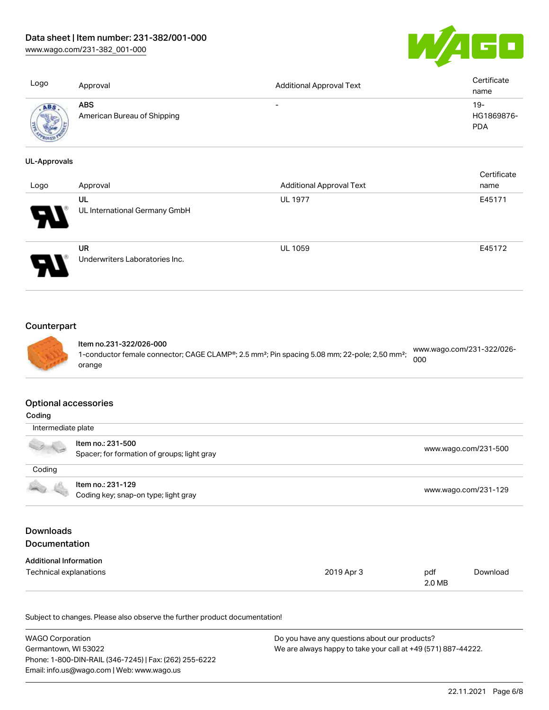[www.wago.com/231-382\\_001-000](http://www.wago.com/231-382_001-000)



| Logo                        | Approval                                  | <b>Additional Approval Text</b> | Certificate<br>name                |
|-----------------------------|-------------------------------------------|---------------------------------|------------------------------------|
| <b>ABS</b>                  | <b>ABS</b><br>American Bureau of Shipping | $\overline{\phantom{a}}$        | $19 -$<br>HG1869876-<br><b>PDA</b> |
| <b>UL-Approvals</b><br>Logo | Approval                                  | <b>Additional Approval Text</b> | Certificate<br>name                |
|                             | UL<br>UL International Germany GmbH       | <b>UL 1977</b>                  | E45171                             |
|                             | UR<br>Underwriters Laboratories Inc.      | <b>UL 1059</b>                  | E45172                             |

# **Counterpart**



Item no.231-322/026-000 1-conductor female connector; CAGE CLAMP®; 2.5 mm²; Pin spacing 5.08 mm; 22-pole; 2,50 mm²; orange [www.wago.com/231-322/026-](https://www.wago.com/231-322/026-000) [000](https://www.wago.com/231-322/026-000)

#### Optional accessories

| Coding                                                    |                                                                  |                      |               |                      |
|-----------------------------------------------------------|------------------------------------------------------------------|----------------------|---------------|----------------------|
| Intermediate plate                                        |                                                                  |                      |               |                      |
|                                                           | Item no.: 231-500<br>Spacer; for formation of groups; light gray |                      |               | www.wago.com/231-500 |
| Coding                                                    |                                                                  |                      |               |                      |
| Item no.: 231-129<br>Coding key; snap-on type; light gray |                                                                  | www.wago.com/231-129 |               |                      |
| <b>Downloads</b><br><b>Documentation</b>                  |                                                                  |                      |               |                      |
| <b>Additional Information</b>                             |                                                                  |                      |               |                      |
| Technical explanations                                    |                                                                  | 2019 Apr 3           | pdf<br>2.0 MB | Download             |

Subject to changes. Please also observe the further product documentation!

| <b>WAGO Corporation</b>                                | Do you have any questions about our products?                 |
|--------------------------------------------------------|---------------------------------------------------------------|
| Germantown. WI 53022                                   | We are always happy to take your call at +49 (571) 887-44222. |
| Phone: 1-800-DIN-RAIL (346-7245)   Fax: (262) 255-6222 |                                                               |
| Email: info.us@wago.com   Web: www.wago.us             |                                                               |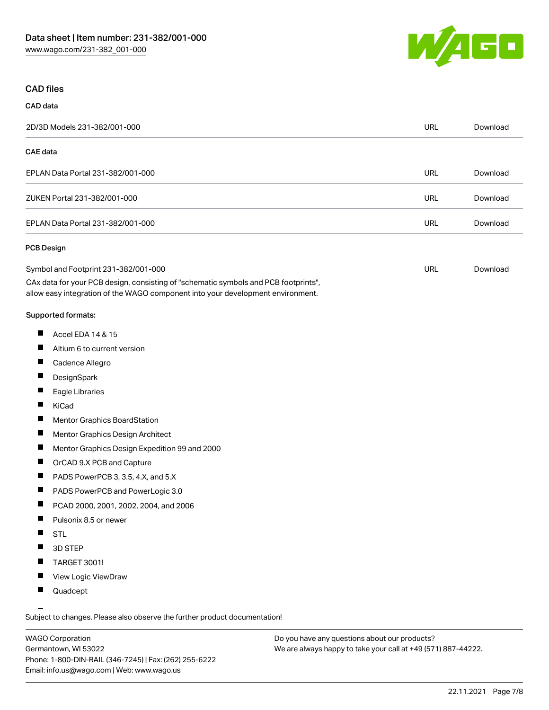

## CAD files

# CAD data 2D/3D Models 231-382/001-000 URL [Download](https://www.wago.com/global/d/3D_URLS_231-382_001-000) CAE data EPLAN Data Portal 231-382/001-000 URL [Download](https://www.wago.com/global/d/EPLAN_URLS_231-382%252F001-000) ZUKEN Portal 231-382/001-000 URL [Download](https://www.wago.com/global/d/Zuken_URLS_231-382_001-000) EPLAN Data Portal 231-382/001-000 URL [Download](https://www.wago.com/global/d/EPLAN_URLS_231-382_001-000) PCB Design Symbol and Footprint 231-382/001-000 URL [Download](https://www.wago.com/global/d/UltraLibrarian_URLS_231-382_001-000)

CAx data for your PCB design, consisting of "schematic symbols and PCB footprints", allow easy integration of the WAGO component into your development environment.

#### Supported formats:

- $\blacksquare$ Accel EDA 14 & 15
- П Altium 6 to current version
- П Cadence Allegro
- П **DesignSpark**
- П Eagle Libraries
- $\blacksquare$ KiCad
- П Mentor Graphics BoardStation
- $\blacksquare$ Mentor Graphics Design Architect
- П Mentor Graphics Design Expedition 99 and 2000
- П OrCAD 9.X PCB and Capture
- $\blacksquare$ PADS PowerPCB 3, 3.5, 4.X, and 5.X
- $\blacksquare$ PADS PowerPCB and PowerLogic 3.0
- $\blacksquare$ PCAD 2000, 2001, 2002, 2004, and 2006
- $\blacksquare$ Pulsonix 8.5 or newer
- $\blacksquare$ STL
- $\blacksquare$ 3D STEP
- $\blacksquare$ TARGET 3001!
- $\blacksquare$ View Logic ViewDraw
- $\blacksquare$ Quadcept

.<br>Subject to changes. Please also observe the further product documentation!

WAGO Corporation Germantown, WI 53022 Phone: 1-800-DIN-RAIL (346-7245) | Fax: (262) 255-6222 Email: info.us@wago.com | Web: www.wago.us